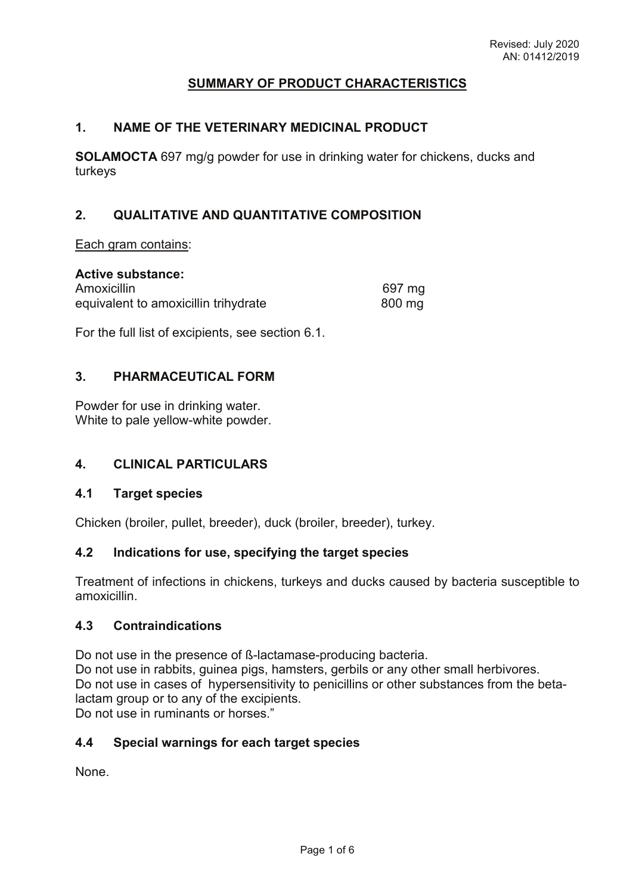# **SUMMARY OF PRODUCT CHARACTERISTICS**

#### **1. NAME OF THE VETERINARY MEDICINAL PRODUCT**

**SOLAMOCTA** 697 mg/g powder for use in drinking water for chickens, ducks and turkeys

# **2. QUALITATIVE AND QUANTITATIVE COMPOSITION**

Each gram contains:

| <b>Active substance:</b>             |        |
|--------------------------------------|--------|
| Amoxicillin                          | 697 mg |
| equivalent to amoxicillin trihydrate | 800 mg |

For the full list of excipients, see section 6.1.

### **3. PHARMACEUTICAL FORM**

Powder for use in drinking water. White to pale yellow-white powder.

# **4. CLINICAL PARTICULARS**

#### **4.1 Target species**

Chicken (broiler, pullet, breeder), duck (broiler, breeder), turkey.

#### **4.2 Indications for use, specifying the target species**

Treatment of infections in chickens, turkeys and ducks caused by bacteria susceptible to amoxicillin.

#### **4.3 Contraindications**

Do not use in the presence of ß-lactamase-producing bacteria.

Do not use in rabbits, guinea pigs, hamsters, gerbils or any other small herbivores. Do not use in cases of hypersensitivity to penicillins or other substances from the betalactam group or to any of the excipients.

Do not use in ruminants or horses."

### **4.4 Special warnings for each target species**

None.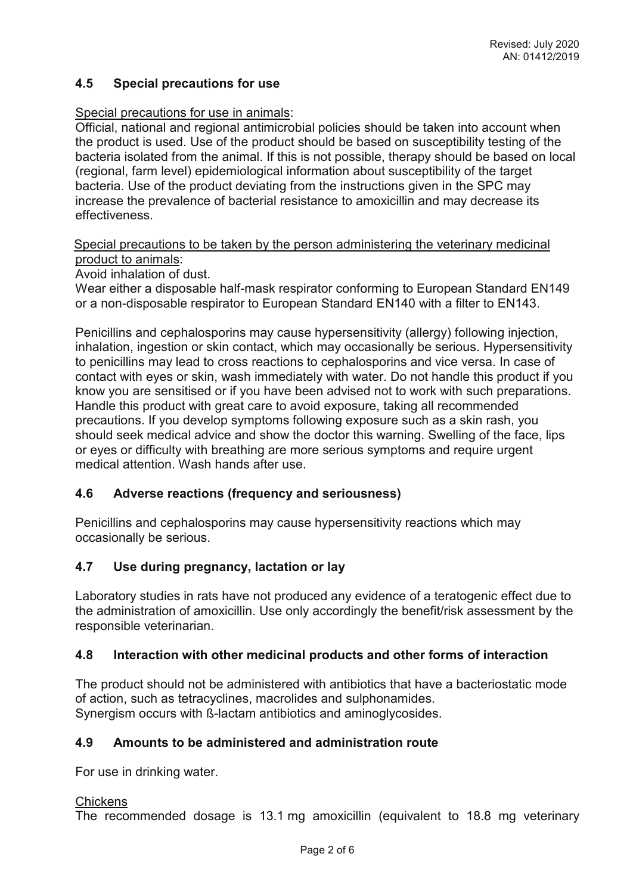# **4.5 Special precautions for use**

### Special precautions for use in animals:

Official, national and regional antimicrobial policies should be taken into account when the product is used. Use of the product should be based on susceptibility testing of the bacteria isolated from the animal. If this is not possible, therapy should be based on local (regional, farm level) epidemiological information about susceptibility of the target bacteria. Use of the product deviating from the instructions given in the SPC may increase the prevalence of bacterial resistance to amoxicillin and may decrease its effectiveness.

Special precautions to be taken by the person administering the veterinary medicinal product to animals:

Avoid inhalation of dust.

Wear either a disposable half-mask respirator conforming to European Standard EN149 or a non-disposable respirator to European Standard EN140 with a filter to EN143.

Penicillins and cephalosporins may cause hypersensitivity (allergy) following injection, inhalation, ingestion or skin contact, which may occasionally be serious. Hypersensitivity to penicillins may lead to cross reactions to cephalosporins and vice versa. In case of contact with eyes or skin, wash immediately with water. Do not handle this product if you know you are sensitised or if you have been advised not to work with such preparations. Handle this product with great care to avoid exposure, taking all recommended precautions. If you develop symptoms following exposure such as a skin rash, you should seek medical advice and show the doctor this warning. Swelling of the face, lips or eyes or difficulty with breathing are more serious symptoms and require urgent medical attention. Wash hands after use.

### **4.6 Adverse reactions (frequency and seriousness)**

Penicillins and cephalosporins may cause hypersensitivity reactions which may occasionally be serious.

### **4.7 Use during pregnancy, lactation or lay**

Laboratory studies in rats have not produced any evidence of a teratogenic effect due to the administration of amoxicillin. Use only accordingly the benefit/risk assessment by the responsible veterinarian.

### **4.8 Interaction with other medicinal products and other forms of interaction**

The product should not be administered with antibiotics that have a bacteriostatic mode of action, such as tetracyclines, macrolides and sulphonamides. Synergism occurs with ß-lactam antibiotics and aminoglycosides.

### **4.9 Amounts to be administered and administration route**

For use in drinking water.

#### **Chickens**

The recommended dosage is 13.1 mg amoxicillin (equivalent to 18.8 mg veterinary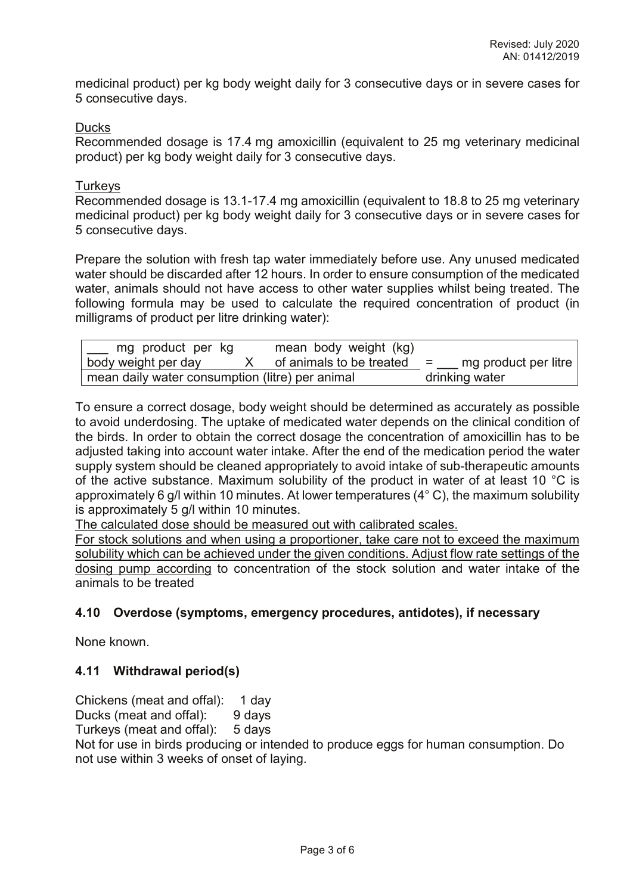medicinal product) per kg body weight daily for 3 consecutive days or in severe cases for 5 consecutive days.

#### Ducks

Recommended dosage is 17.4 mg amoxicillin (equivalent to 25 mg veterinary medicinal product) per kg body weight daily for 3 consecutive days.

#### **Turkeys**

Recommended dosage is 13.1-17.4 mg amoxicillin (equivalent to 18.8 to 25 mg veterinary medicinal product) per kg body weight daily for 3 consecutive days or in severe cases for 5 consecutive days.

Prepare the solution with fresh tap water immediately before use. Any unused medicated water should be discarded after 12 hours. In order to ensure consumption of the medicated water, animals should not have access to other water supplies whilst being treated. The following formula may be used to calculate the required concentration of product (in milligrams of product per litre drinking water):

| mg product per kg                               | mean body weight (kg)    |                             |
|-------------------------------------------------|--------------------------|-----------------------------|
| body weight per day                             | of animals to be treated | mg product per litre<br>$=$ |
| mean daily water consumption (litre) per animal |                          | drinking water              |

To ensure a correct dosage, body weight should be determined as accurately as possible to avoid underdosing. The uptake of medicated water depends on the clinical condition of the birds. In order to obtain the correct dosage the concentration of amoxicillin has to be adjusted taking into account water intake. After the end of the medication period the water supply system should be cleaned appropriately to avoid intake of sub-therapeutic amounts of the active substance. Maximum solubility of the product in water of at least 10 °C is approximately 6 g/l within 10 minutes. At lower temperatures (4° C), the maximum solubility is approximately 5 g/l within 10 minutes.

The calculated dose should be measured out with calibrated scales.

For stock solutions and when using a proportioner, take care not to exceed the maximum solubility which can be achieved under the given conditions. Adjust flow rate settings of the dosing pump according to concentration of the stock solution and water intake of the animals to be treated

### **4.10 Overdose (symptoms, emergency procedures, antidotes), if necessary**

None known.

### **4.11 Withdrawal period(s)**

Chickens (meat and offal): 1 day

Ducks (meat and offal): 9 days<br>Turkeys (meat and offal): 5 days Turkeys (meat and offal):

Not for use in birds producing or intended to produce eggs for human consumption. Do not use within 3 weeks of onset of laying.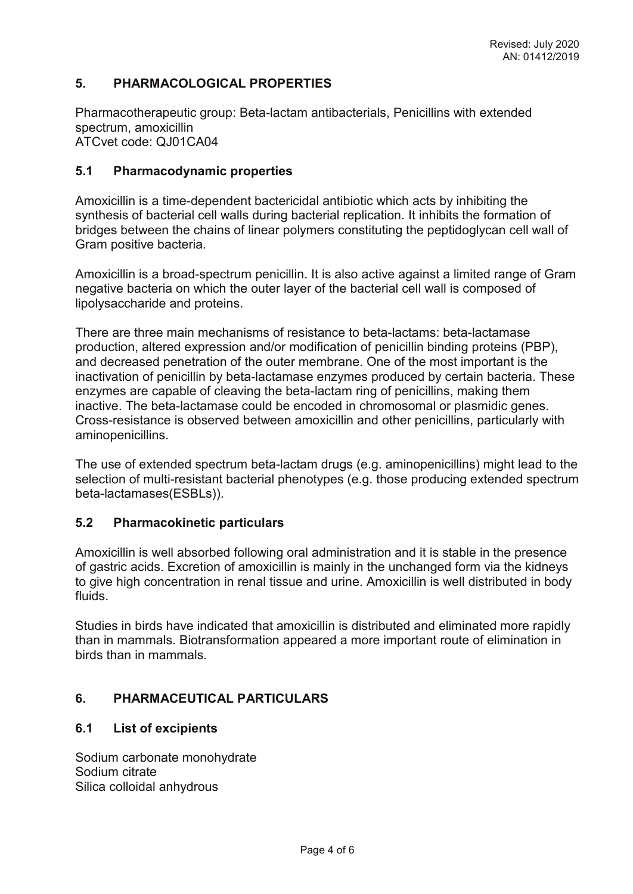# **5. PHARMACOLOGICAL PROPERTIES**

Pharmacotherapeutic group: Beta-lactam antibacterials, Penicillins with extended spectrum, amoxicillin ATCvet code: QJ01CA04

#### **5.1 Pharmacodynamic properties**

Amoxicillin is a time-dependent bactericidal antibiotic which acts by inhibiting the synthesis of bacterial cell walls during bacterial replication. It inhibits the formation of bridges between the chains of linear polymers constituting the peptidoglycan cell wall of Gram positive bacteria.

Amoxicillin is a broad-spectrum penicillin. It is also active against a limited range of Gram negative bacteria on which the outer layer of the bacterial cell wall is composed of lipolysaccharide and proteins.

There are three main mechanisms of resistance to beta-lactams: beta-lactamase production, altered expression and/or modification of penicillin binding proteins (PBP), and decreased penetration of the outer membrane. One of the most important is the inactivation of penicillin by beta-lactamase enzymes produced by certain bacteria. These enzymes are capable of cleaving the beta-lactam ring of penicillins, making them inactive. The beta-lactamase could be encoded in chromosomal or plasmidic genes. Cross-resistance is observed between amoxicillin and other penicillins, particularly with aminopenicillins.

The use of extended spectrum beta-lactam drugs (e.g. aminopenicillins) might lead to the selection of multi-resistant bacterial phenotypes (e.g. those producing extended spectrum beta-lactamases(ESBLs)).

### **5.2 Pharmacokinetic particulars**

Amoxicillin is well absorbed following oral administration and it is stable in the presence of gastric acids. Excretion of amoxicillin is mainly in the unchanged form via the kidneys to give high concentration in renal tissue and urine. Amoxicillin is well distributed in body fluids.

Studies in birds have indicated that amoxicillin is distributed and eliminated more rapidly than in mammals. Biotransformation appeared a more important route of elimination in birds than in mammals.

### **6. PHARMACEUTICAL PARTICULARS**

### **6.1 List of excipients**

Sodium carbonate monohydrate Sodium citrate Silica colloidal anhydrous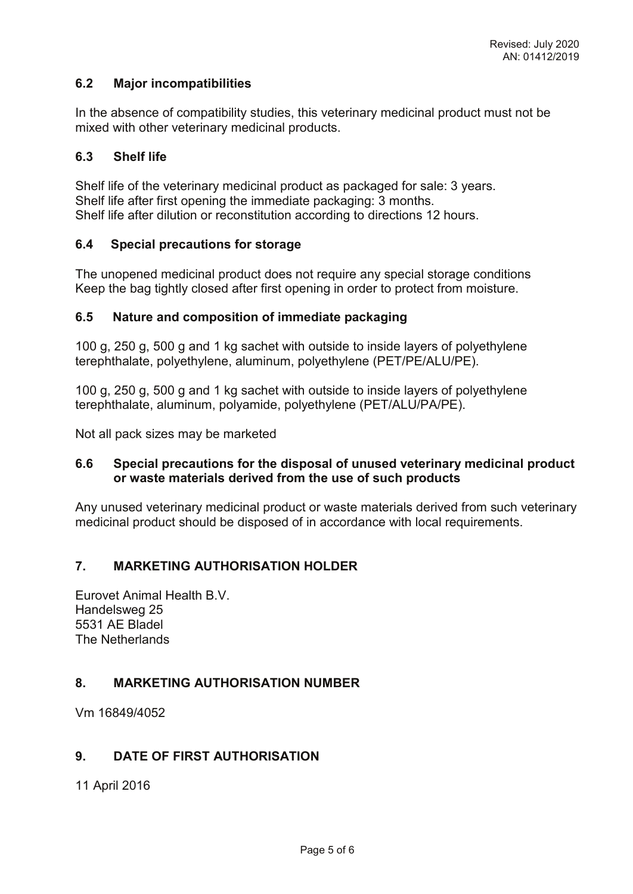# **6.2 Major incompatibilities**

In the absence of compatibility studies, this veterinary medicinal product must not be mixed with other veterinary medicinal products.

### **6.3 Shelf life**

Shelf life of the veterinary medicinal product as packaged for sale: 3 years. Shelf life after first opening the immediate packaging: 3 months. Shelf life after dilution or reconstitution according to directions 12 hours.

#### **6.4 Special precautions for storage**

The unopened medicinal product does not require any special storage conditions Keep the bag tightly closed after first opening in order to protect from moisture.

#### **6.5 Nature and composition of immediate packaging**

100 g, 250 g, 500 g and 1 kg sachet with outside to inside layers of polyethylene terephthalate, polyethylene, aluminum, polyethylene (PET/PE/ALU/PE).

100 g, 250 g, 500 g and 1 kg sachet with outside to inside layers of polyethylene terephthalate, aluminum, polyamide, polyethylene (PET/ALU/PA/PE).

Not all pack sizes may be marketed

#### **6.6 Special precautions for the disposal of unused veterinary medicinal product or waste materials derived from the use of such products**

Any unused veterinary medicinal product or waste materials derived from such veterinary medicinal product should be disposed of in accordance with local requirements.

### **7. MARKETING AUTHORISATION HOLDER**

Eurovet Animal Health B.V. Handelsweg 25 5531 AE Bladel The Netherlands

### **8. MARKETING AUTHORISATION NUMBER**

Vm 16849/4052

#### **9. DATE OF FIRST AUTHORISATION**

11 April 2016